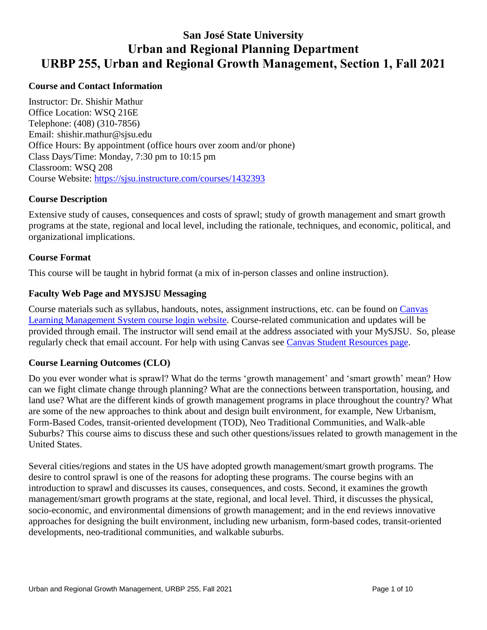# **San José State University Urban and Regional Planning Department URBP 255, Urban and Regional Growth Management, Section 1, Fall 2021**

# **Course and Contact Information**

Instructor: Dr. Shishir Mathur Office Location: WSQ 216E Telephone: (408) (310-7856) Email: [shishir.mathur@sjsu.edu](mailto:shishir.mathur@sjsu.edu) Office Hours: By appointment (office hours over zoom and/or phone) Class Days/Time: Monday, 7:30 pm to 10:15 pm Classroom: WSQ 208 Course Website: <https://sjsu.instructure.com/courses/1432393>

# **Course Description**

Extensive study of causes, consequences and costs of sprawl; study of growth management and smart growth programs at the state, regional and local level, including the rationale, techniques, and economic, political, and organizational implications.

# **Course Format**

This course will be taught in hybrid format (a mix of in-person classes and online instruction).

# **Faculty Web Page and MYSJSU Messaging**

Course materials such as syllabus, handouts, notes, assignment instructions, etc. can be found on Canvas Learning Management System course login website. Course-related communication and updates will be provided through email. The instructor will send email at the address associated with your MySJSU. So, please regularly check that email account. For help with using Canvas see Canvas Student Resources page.

# **Course Learning Outcomes (CLO)**

Do you ever wonder what is sprawl? What do the terms 'growth management' and 'smart growth' mean? How can we fight climate change through planning? What are the connections between transportation, housing, and land use? What are the different kinds of growth management programs in place throughout the country? What are some of the new approaches to think about and design built environment, for example, New Urbanism, Form-Based Codes, transit-oriented development (TOD), Neo Traditional Communities, and Walk-able Suburbs? This course aims to discuss these and such other questions/issues related to growth management in the United States.

Several cities/regions and states in the US have adopted growth management/smart growth programs. The desire to control sprawl is one of the reasons for adopting these programs. The course begins with an introduction to sprawl and discusses its causes, consequences, and costs. Second, it examines the growth management/smart growth programs at the state, regional, and local level. Third, it discusses the physical, socio-economic, and environmental dimensions of growth management; and in the end reviews innovative approaches for designing the built environment, including new urbanism, form-based codes, transit-oriented developments, neo-traditional communities, and walkable suburbs.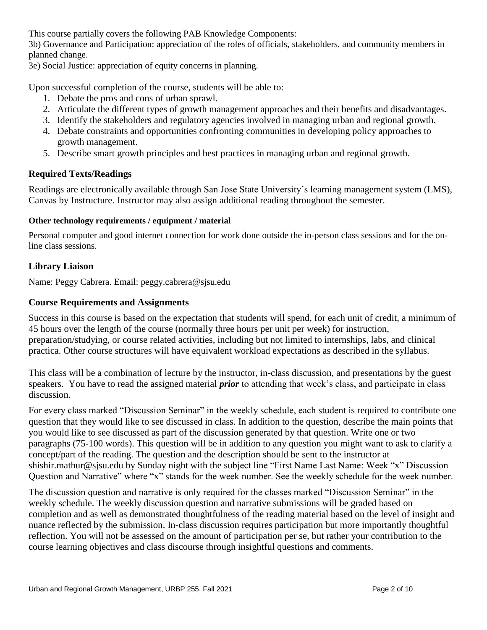This course partially covers the following PAB Knowledge Components:

3b) Governance and Participation: appreciation of the roles of officials, stakeholders, and community members in planned change.

3e) Social Justice: appreciation of equity concerns in planning.

Upon successful completion of the course, students will be able to:

- 1. Debate the pros and cons of urban sprawl.
- 2. Articulate the different types of growth management approaches and their benefits and disadvantages.
- 3. Identify the stakeholders and regulatory agencies involved in managing urban and regional growth.
- 4. Debate constraints and opportunities confronting communities in developing policy approaches to growth management.
- 5. Describe smart growth principles and best practices in managing urban and regional growth.

# **Required Texts/Readings**

Readings are electronically available through San Jose State University's learning management system (LMS), Canvas by Instructure. Instructor may also assign additional reading throughout the semester.

## **Other technology requirements / equipment / material**

Personal computer and good internet connection for work done outside the in-person class sessions and for the online class sessions.

# **Library Liaison**

Name: Peggy Cabrera. Email: [peggy.cabrera@sjsu.edu](mailto:peggy.cabrera@sjsu.edu) 

# **Course Requirements and Assignments**

Success in this course is based on the expectation that students will spend, for each unit of credit, a minimum of 45 hours over the length of the course (normally three hours per unit per week) for instruction, preparation/studying, or course related activities, including but not limited to internships, labs, and clinical practica. Other course structures will have equivalent workload expectations as described in the syllabus.

This class will be a combination of lecture by the instructor, in-class discussion, and presentations by the guest speakers. You have to read the assigned material *prior* to attending that week's class, and participate in class discussion.

 Question and Narrative" where "x" stands for the week number. See the weekly schedule for the week number. For every class marked "Discussion Seminar" in the weekly schedule, each student is required to contribute one question that they would like to see discussed in class. In addition to the question, describe the main points that you would like to see discussed as part of the discussion generated by that question. Write one or two paragraphs (75-100 words). This question will be in addition to any question you might want to ask to clarify a concept/part of the reading. The question and the description should be sent to the instructor at [shishir.mathur@sjsu.edu](mailto:shishir.mathur@sjsu.edu) by Sunday night with the subject line "First Name Last Name: Week "x" Discussion

The discussion question and narrative is only required for the classes marked "Discussion Seminar" in the weekly schedule. The weekly discussion question and narrative submissions will be graded based on completion and as well as demonstrated thoughtfulness of the reading material based on the level of insight and nuance reflected by the submission. In-class discussion requires participation but more importantly thoughtful reflection. You will not be assessed on the amount of participation per se, but rather your contribution to the course learning objectives and class discourse through insightful questions and comments.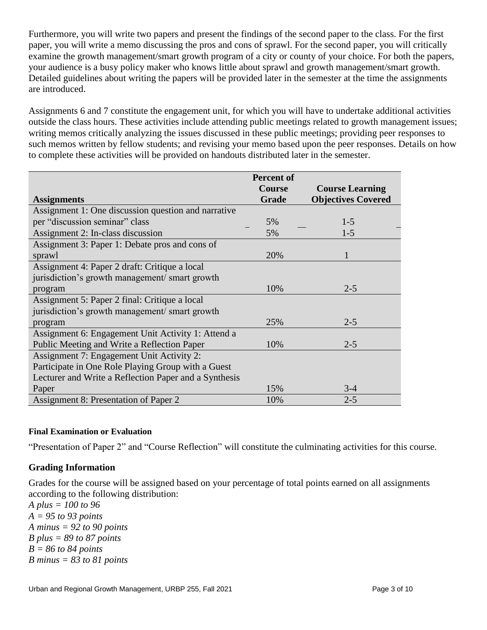Furthermore, you will write two papers and present the findings of the second paper to the class. For the first paper, you will write a memo discussing the pros and cons of sprawl. For the second paper, you will critically examine the growth management/smart growth program of a city or county of your choice. For both the papers, your audience is a busy policy maker who knows little about sprawl and growth management/smart growth. Detailed guidelines about writing the papers will be provided later in the semester at the time the assignments are introduced.

Assignments 6 and 7 constitute the engagement unit, for which you will have to undertake additional activities outside the class hours. These activities include attending public meetings related to growth management issues; writing memos critically analyzing the issues discussed in these public meetings; providing peer responses to such memos written by fellow students; and revising your memo based upon the peer responses. Details on how to complete these activities will be provided on handouts distributed later in the semester.

|                                                       | <b>Percent of</b> |                           |
|-------------------------------------------------------|-------------------|---------------------------|
|                                                       | <b>Course</b>     | <b>Course Learning</b>    |
| <b>Assignments</b>                                    | <b>Grade</b>      | <b>Objectives Covered</b> |
| Assignment 1: One discussion question and narrative   |                   |                           |
| per "discussion seminar" class                        | 5%                | $1-5$                     |
| Assignment 2: In-class discussion                     | 5%                | $1 - 5$                   |
| Assignment 3: Paper 1: Debate pros and cons of        |                   |                           |
| sprawl                                                | 20%               | 1                         |
| Assignment 4: Paper 2 draft: Critique a local         |                   |                           |
| jurisdiction's growth management/ smart growth        |                   |                           |
| program                                               | 10%               | $2 - 5$                   |
| Assignment 5: Paper 2 final: Critique a local         |                   |                           |
| jurisdiction's growth management/smart growth         |                   |                           |
| program                                               | 25%               | $2 - 5$                   |
| Assignment 6: Engagement Unit Activity 1: Attend a    |                   |                           |
| Public Meeting and Write a Reflection Paper           | 10%               | $2 - 5$                   |
| Assignment 7: Engagement Unit Activity 2:             |                   |                           |
| Participate in One Role Playing Group with a Guest    |                   |                           |
| Lecturer and Write a Reflection Paper and a Synthesis |                   |                           |
| Paper                                                 | 15%               | $3-4$                     |
| Assignment 8: Presentation of Paper 2                 | 10%               | $2 - 5$                   |

# **Final Examination or Evaluation**

"Presentation of Paper 2" and "Course Reflection" will constitute the culminating activities for this course.

# **Grading Information**

Grades for the course will be assigned based on your percentage of total points earned on all assignments according to the following distribution:

*A plus = 100 to 96 A = 95 to 93 points A minus = 92 to 90 points B plus = 89 to 87 points B = 86 to 84 points B minus = 83 to 81 points*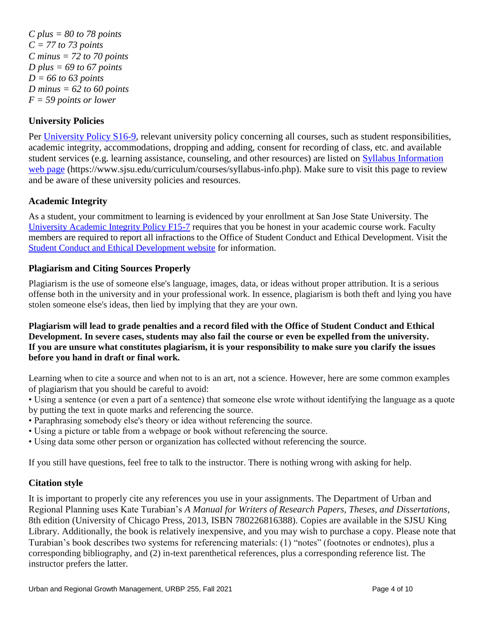*C plus = 80 to 78 points C = 77 to 73 points C minus = 72 to 70 points D plus = 69 to 67 points D = 66 to 63 points D minus = 62 to 60 points F = 59 points or lower* 

# **University Policies**

Per University Policy S16-9, relevant university policy concerning all courses, such as student responsibilities, academic integrity, accommodations, dropping and adding, consent for recording of class, etc. and available student services (e.g. learning assistance, counseling, and other resources) are listed on Syllabus Information web page (<https://www.sjsu.edu/curriculum/courses/syllabus-info.php>). Make sure to visit this page to review and be aware of these university policies and resources.

# **Academic Integrity**

 As a student, your commitment to learning is evidenced by your enrollment at San Jose State University. The members are required to report all infractions to the Office of Student Conduct and Ethical Development. Visit the University Academic Integrity Policy F15-7 requires that you be honest in your academic course work. Faculty Student Conduct and Ethical Development website for information.

# **Plagiarism and Citing Sources Properly**

 Plagiarism is the use of someone else's language, images, data, or ideas without proper attribution. It is a serious offense both in the university and in your professional work. In essence, plagiarism is both theft and lying you have stolen someone else's ideas, then lied by implying that they are your own.

 **Plagiarism will lead to grade penalties and a record filed with the Office of Student Conduct and Ethical Development. In severe cases, students may also fail the course or even be expelled from the university. before you hand in draft or final work. If you are unsure what constitutes plagiarism, it is your responsibility to make sure you clarify the issues** 

Learning when to cite a source and when not to is an art, not a science. However, here are some common examples of plagiarism that you should be careful to avoid:

• Using a sentence (or even a part of a sentence) that someone else wrote without identifying the language as a quote by putting the text in quote marks and referencing the source.

- Paraphrasing somebody else's theory or idea without referencing the source.
- Using a picture or table from a webpage or book without referencing the source.
- Using data some other person or organization has collected without referencing the source.

If you still have questions, feel free to talk to the instructor. There is nothing wrong with asking for help.

# **Citation style**

 It is important to properly cite any references you use in your assignments. The Department of Urban and Regional Planning uses Kate Turabian's *A Manual for Writers of Research Papers, Theses, and Dissertations*, 8th edition (University of Chicago Press, 2013, ISBN 780226816388). Copies are available in the SJSU King Library. Additionally, the book is relatively inexpensive, and you may wish to purchase a copy. Please note that Turabian's book describes two systems for referencing materials: (1) "notes" (footnotes or endnotes), plus a corresponding bibliography, and (2) in-text parenthetical references, plus a corresponding reference list. The instructor prefers the latter.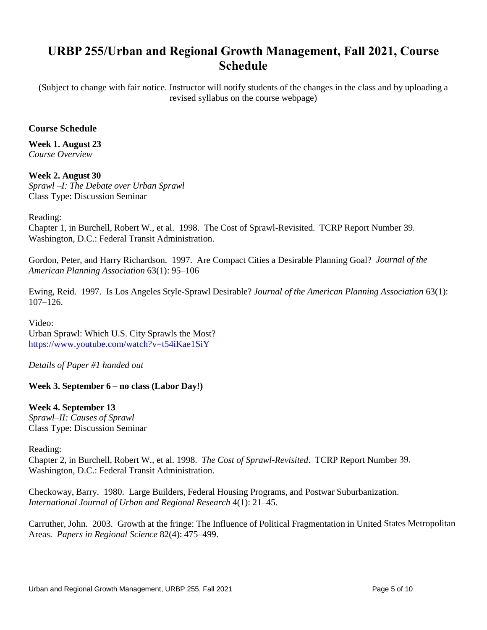# **URBP 255/Urban and Regional Growth Management, Fall 2021, Course Schedule**

(Subject to change with fair notice. Instructor will notify students of the changes in the class and by uploading a revised syllabus on the course webpage)

# **Course Schedule**

**Week 1. August 23**  *Course Overview* 

**Week 2. August 30**  *Sprawl –I: The Debate over Urban Sprawl*  Class Type: Discussion Seminar

#### Reading:

Chapter 1, in Burchell, Robert W., et al. 1998. The Cost of Sprawl-Revisited. TCRP Report Number 39. Washington, D.C.: Federal Transit Administration.

Gordon, Peter, and Harry Richardson. 1997. Are Compact Cities a Desirable Planning Goal? *Journal of the American Planning Association* 63(1): 95–106

Ewing, Reid. 1997. Is Los Angeles Style-Sprawl Desirable? *Journal of the American Planning Association* 63(1): 107–126.

Video: Urban Sprawl: Which U.S. City Sprawls the Most? <https://www.youtube.com/watch?v=t54iKae1SiY>

*Details of Paper #1 handed out* 

#### **Week 3. September 6 – no class (Labor Day!)**

# **Week 4. September 13**

*Sprawl–II: Causes of Sprawl*  Class Type: Discussion Seminar

Reading:

Chapter 2, in Burchell, Robert W., et al. 1998. *The Cost of Sprawl-Revisited*. TCRP Report Number 39. Washington, D.C.: Federal Transit Administration.

Checkoway, Barry. 1980. Large Builders, Federal Housing Programs, and Postwar Suburbanization. *International Journal of Urban and Regional Research* 4(1): 21–45.

Carruther, John. 2003. Growth at the fringe: The Influence of Political Fragmentation in United States Metropolitan Areas. *Papers in Regional Science* 82(4): 475–499.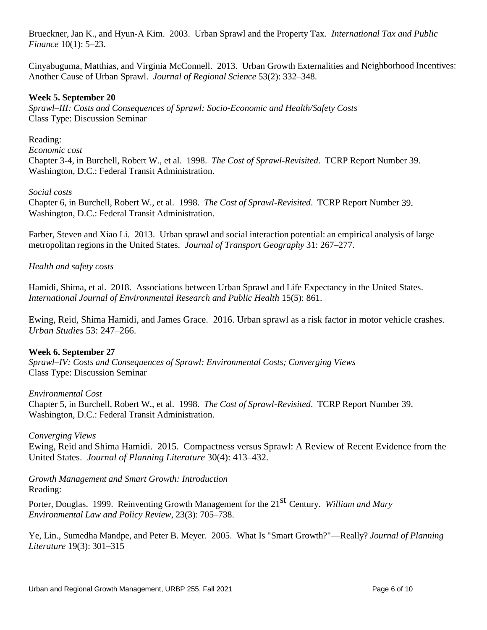Brueckner, Jan K., and Hyun-A Kim. 2003. Urban Sprawl and the Property Tax. *International Tax and Public Finance* 10(1): 5–23.

Cinyabuguma, Matthias, and Virginia McConnell. 2013. Urban Growth Externalities and Neighborhood Incentives: Another Cause of Urban Sprawl. *Journal of Regional Science* 53(2): 332–348.

# **Week 5. September 20**

*Sprawl–III: Costs and Consequences of Sprawl: Socio-Economic and Health/Safety Costs*  Class Type: Discussion Seminar

Reading:

*Economic cost*  Chapter 3-4, in Burchell, Robert W., et al. 1998. *The Cost of Sprawl-Revisited*. TCRP Report Number 39. Washington, D.C.: Federal Transit Administration.

#### *Social costs*

Chapter 6, in Burchell, Robert W., et al. 1998. *The Cost of Sprawl-Revisited*. TCRP Report Number 39. Washington, D.C.: Federal Transit Administration.

Farber, Steven and Xiao Li. 2013. Urban sprawl and social interaction potential: an empirical analysis of large metropolitan regions in the United States. *Journal of Transport Geography* 31: 267**–**277.

## *Health and safety costs*

 *International Journal of Environmental Research and Public Health* 15(5): 861. Hamidi, Shima, et al. 2018. Associations between Urban Sprawl and Life Expectancy in the United States.

Ewing, Reid, Shima Hamidi, and James Grace. 2016. Urban sprawl as a risk factor in motor vehicle crashes. *Urban Studies* 53: 247–266.

# **Week 6. September 27**

*Sprawl–IV: Costs and Consequences of Sprawl: Environmental Costs; Converging Views*  Class Type: Discussion Seminar

#### *Environmental Cost*

Chapter 5, in Burchell, Robert W., et al. 1998. *The Cost of Sprawl-Revisited*. TCRP Report Number 39. Washington, D.C.: Federal Transit Administration.

#### *Converging Views*

Ewing, Reid and Shima Hamidi. 2015. Compactness versus Sprawl: A Review of Recent Evidence from the United States. *Journal of Planning Literature* 30(4): 413–432.

*Growth Management and Smart Growth: Introduction*  Reading:

Porter, Douglas. 1999. Reinventing Growth Management for the 21<sup>st</sup> Century. *William and Mary Environmental Law and Policy Review*, 23(3): 705–738.

Ye, Lin., Sumedha Mandpe, and Peter B. Meyer. 2005. What Is "Smart Growth?"—Really? *Journal of Planning Literature* 19(3): 301–315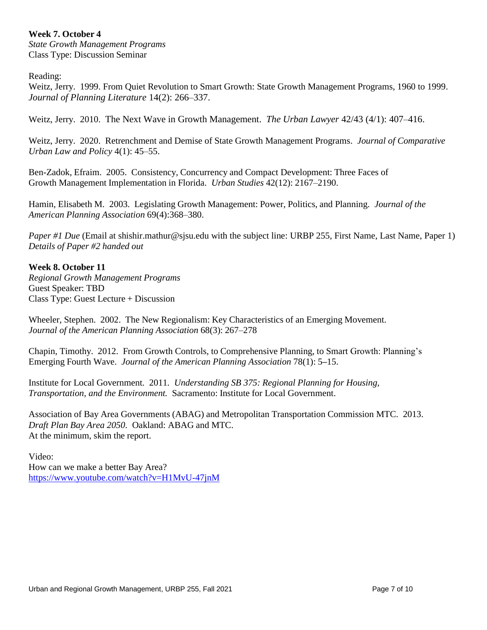# **Week 7. October 4**

*State Growth Management Programs*  Class Type: Discussion Seminar

Reading:

Weitz, Jerry. 1999. From Quiet Revolution to Smart Growth: State Growth Management Programs, 1960 to 1999. *Journal of Planning Literature* 14(2): 266–337.

Weitz, Jerry. 2010. The Next Wave in Growth Management. *The Urban Lawyer* 42/43 (4/1): 407–416.

 Weitz, Jerry. 2020. Retrenchment and Demise of State Growth Management Programs. *Journal of Comparative Urban Law and Policy* 4(1): 45–55.

Ben-Zadok, Efraim. 2005. Consistency, Concurrency and Compact Development: Three Faces of Growth Management Implementation in Florida. *Urban Studies* 42(12): 2167–2190.

Hamin, Elisabeth M. 2003. Legislating Growth Management: Power, Politics, and Planning. *Journal of the American Planning Association* 69(4):368–380.

 *Paper #1 Due* (Email at [shishir.mathur@sjsu.edu](mailto:shishir.mathur@sjsu.edu) with the subject line: URBP 255, First Name, Last Name, Paper 1) *Details of Paper #2 handed out* 

## **Week 8. October 11**

*Regional Growth Management Programs*  Guest Speaker: TBD Class Type: Guest Lecture + Discussion

Wheeler, Stephen. 2002. The New Regionalism: Key Characteristics of an Emerging Movement. *Journal of the American Planning Association* 68(3): 267–278

Chapin, Timothy. 2012. From Growth Controls, to Comprehensive Planning, to Smart Growth: Planning's Emerging Fourth Wave. *Journal of the American Planning Association* 78(1): 5**–**15.

Institute for Local Government*.* 2011*. Understanding SB 375: Regional Planning for Housing, Transportation, and the Environment.* Sacramento: Institute for Local Government.

Association of Bay Area Governments (ABAG) and Metropolitan Transportation Commission MTC. 2013. *Draft Plan Bay Area 2050*. Oakland: ABAG and MTC. At the minimum, skim the report.

 How can we make a better Bay Area? Video: <https://www.youtube.com/watch?v=H1MvU-47jnM>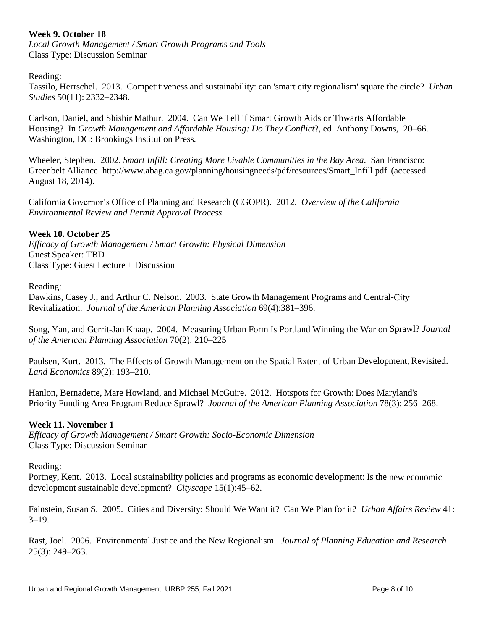# **Week 9. October 18**

*Local Growth Management / Smart Growth Programs and Tools*  Class Type: Discussion Seminar

#### Reading:

Tassilo, Herrschel. 2013. Competitiveness and sustainability: can 'smart city regionalism' square the circle? *Urban Studies* 50(11): 2332–2348.

Carlson, Daniel, and Shishir Mathur. 2004. Can We Tell if Smart Growth Aids or Thwarts Affordable Housing? In *Growth Management and Affordable Housing: Do They Conflict*?, ed. Anthony Downs, 20–66. Washington, DC: Brookings Institution Press*.* 

Wheeler, Stephen. 2002. *Smart Infill: Creating More Livable Communities in the Bay Area*. San Francisco: Greenbelt Alliance. [http://www.abag.ca.gov/planning/housingneeds/pdf/resources/Smart\\_Infill.pdf](http://www.abag.ca.gov/planning/housingneeds/pdf/resources/Smart_Infill.pdf) (accessed August 18, 2014).

California Governor's Office of Planning and Research (CGOPR). 2012. *Overview of the California Environmental Review and Permit Approval Process*.

## **Week 10. October 25**

*Efficacy of Growth Management / Smart Growth: Physical Dimension*  Guest Speaker: TBD Class Type: Guest Lecture + Discussion

Reading:

Dawkins, Casey J., and Arthur C. Nelson. 2003. State Growth Management Programs and Central-City Revitalization. *Journal of the American Planning Association* 69(4):381–396.

Song, Yan, and Gerrit-Jan Knaap. 2004. Measuring Urban Form Is Portland Winning the War on Sprawl? *Journal of the American Planning Association* 70(2): 210–225

Paulsen, Kurt. 2013. The Effects of Growth Management on the Spatial Extent of Urban Development, Revisited. *Land Economics* 89(2): 193–210.

Hanlon, Bernadette, Mare Howland, and Michael McGuire. 2012. Hotspots for Growth: Does Maryland's Priority Funding Area Program Reduce Sprawl? *Journal of the American Planning Association* 78(3): 256–268.

#### **Week 11. November 1**

*Efficacy of Growth Management / Smart Growth: Socio-Economic Dimension*  Class Type: Discussion Seminar

Reading:

Portney, Kent. 2013. Local sustainability policies and programs as economic development: Is the new economic development sustainable development? *Cityscape* 15(1):45–62.

Fainstein, Susan S. 2005. Cities and Diversity: Should We Want it? Can We Plan for it? *Urban Affairs Review* 41:  $3-19.$ 

Rast, Joel. 2006. Environmental Justice and the New Regionalism. *Journal of Planning Education and Research*  25(3): 249–263.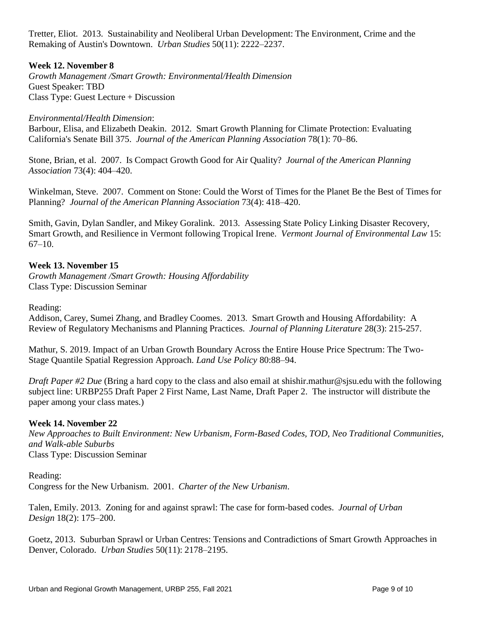Tretter, Eliot. 2013. Sustainability and Neoliberal Urban Development: The Environment, Crime and the Remaking of Austin's Downtown. *Urban Studies* 50(11): 2222–2237.

# **Week 12. November 8**

*Growth Management /Smart Growth: Environmental/Health Dimension*  Guest Speaker: TBD Class Type: Guest Lecture + Discussion

*Environmental/Health Dimension*:

Barbour, Elisa, and Elizabeth Deakin. 2012. Smart Growth Planning for Climate Protection: Evaluating California's Senate Bill 375. *Journal of the American Planning Association* 78(1): 70–86.

Stone, Brian, et al. 2007. Is Compact Growth Good for Air Quality? *Journal of the American Planning Association* 73(4): 404–420.

Winkelman, Steve. 2007. Comment on Stone: Could the Worst of Times for the Planet Be the Best of Times for Planning? *Journal of the American Planning Association* 73(4): 418–420.

Smith, Gavin, Dylan Sandler, and Mikey Goralink. 2013. Assessing State Policy Linking Disaster Recovery, Smart Growth, and Resilience in Vermont following Tropical Irene. *Vermont Journal of Environmental Law* 15: 67–10.

## **Week 13. November 15**

*Growth Management /Smart Growth: Housing Affordability*  Class Type: Discussion Seminar

Reading:

Addison, Carey, Sumei Zhang, and Bradley Coomes. 2013. Smart Growth and Housing Affordability: A Review of Regulatory Mechanisms and Planning Practices. *Journal of Planning Literature* 28(3): 215-257.

 Mathur, S. 2019. Impact of an Urban Growth Boundary Across the Entire House Price Spectrum: The Two-Stage Quantile Spatial Regression Approach. *Land Use Policy* 80:88–94.

*Draft Paper #2 Due* (Bring a hard copy to the class and also email at [shishir.mathur@sjsu.edu](mailto:shishir.mathur@sjsu.edu) with the following subject line: URBP255 Draft Paper 2 First Name, Last Name, Draft Paper 2. The instructor will distribute the paper among your class mates.)

#### **Week 14. November 22**

*New Approaches to Built Environment: New Urbanism, Form-Based Codes, TOD, Neo Traditional Communities, and Walk-able Suburbs*  Class Type: Discussion Seminar

Reading:

Congress for the New Urbanism. 2001. *Charter of the New Urbanism*.

Talen, Emily. 2013. Zoning for and against sprawl: The case for form-based codes. *Journal of Urban Design* 18(2): 175–200.

Goetz, 2013. Suburban Sprawl or Urban Centres: Tensions and Contradictions of Smart Growth Approaches in Denver, Colorado. *Urban Studies* 50(11): 2178–2195.